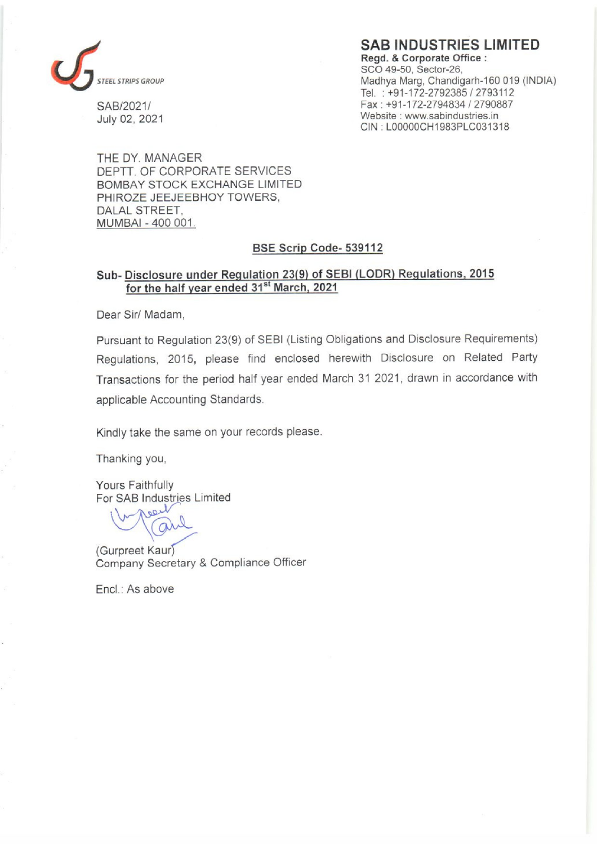

SAB INDUSTRIES LIMITED

Regd. & Corporate Office : SCO 49-50, Sector-26, STEEL STRIPS GROUP Madhya Marg, Chandigarh-160 019 (INDIA) Tel. : +91-172-2792385 / 2793112 SAB/2021/ Fax : +91-172-2794834 / 2790887 July 02, 2021 Website : www.sabindustries.in CIN ; LOOODOCH1983PLC031318

THE DY. MANAGER DEPTT. OF CORPORATE SERVICES BOMBAY STOCK EXCHANGE LIMITED PHIROZE JEEJEEBHOY TOWERS, DALAL STREET, MUMBAI - 400 001.

### BSE Scrip Code- 539112

## Sub- Disclosure under Regulation 23(9) of SEB! (LODR) Regulations, 2015 for the half year ended 31<sup>st</sup> March, 2021

Dear Sir/ Madam,

Pursuant to Regulation 23(9) of SEBI (Listing Obligations and Disclosure Requirements) Regulations, 2015, please find enclosed herewith Disclosure on Related Party Transactions for the period half year ended March 31 2021, drawn in accordance with applicable Accounting Standards.

Kindly take the same on your records please.

Thanking you,

Yours Faithfully

For SAB Industries Limited<br>
Markt Gull

(Gurpreet Kaur) Company Secretary & Compliance Officer

Encl.: As above